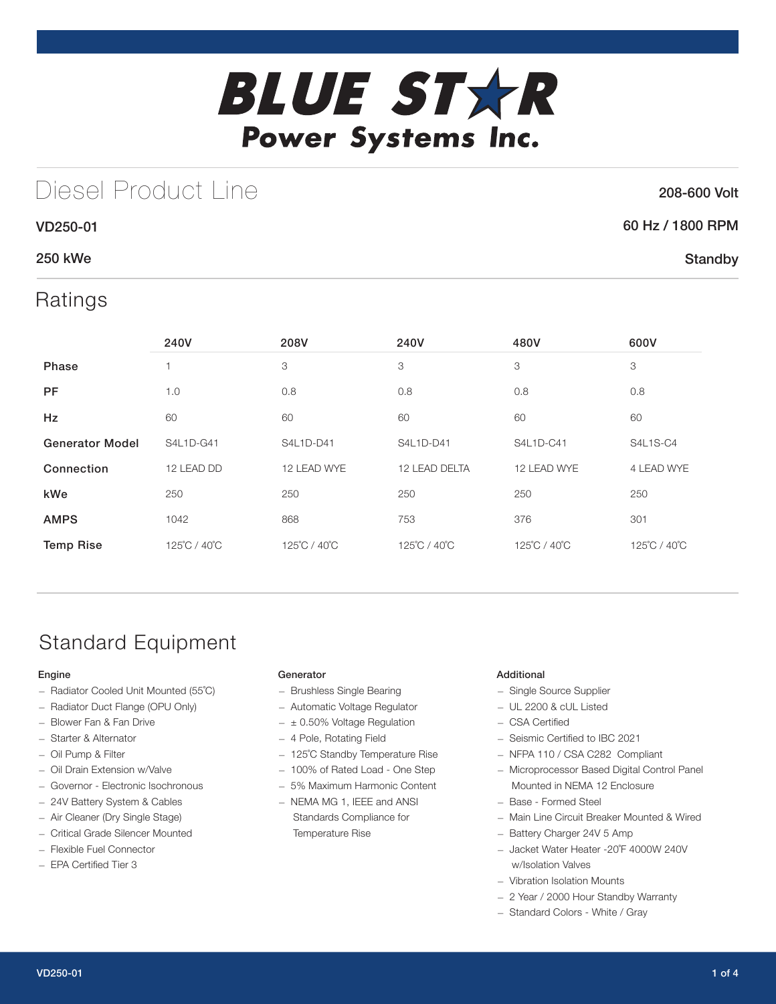

## Diesel Product Line

### 208-600 Volt

**Standby** 

# 60 Hz / 1800 RPM

### 250 kWe

VD250-01

### Ratings

|                        | 240V         | 208V         | 240V<br>480V  |              | 600V            |
|------------------------|--------------|--------------|---------------|--------------|-----------------|
| <b>Phase</b>           |              | 3            | 3             | 3            | 3               |
| <b>PF</b>              | 1.0          | 0.8          | 0.8           | 0.8          | 0.8             |
| Hz                     | 60           | 60           | 60            | 60           | 60              |
| <b>Generator Model</b> | S4L1D-G41    | S4L1D-D41    | S4L1D-D41     | S4L1D-C41    | <b>S4L1S-C4</b> |
| Connection             | 12 LEAD DD   | 12 LEAD WYE  | 12 LEAD DELTA | 12 LEAD WYE  | 4 LEAD WYE      |
| kWe                    | 250          | 250          | 250           | 250          | 250             |
| <b>AMPS</b>            | 1042         | 868          | 753           | 376          | 301             |
| <b>Temp Rise</b>       | 125°C / 40°C | 125°C / 40°C | 125°C / 40°C  | 125°C / 40°C | 125°C / 40°C    |

## Standard Equipment

### Engine

- Radiator Cooled Unit Mounted (55˚C)
- Radiator Duct Flange (OPU Only)
- Blower Fan & Fan Drive
- Starter & Alternator
- Oil Pump & Filter
- Oil Drain Extension w/Valve
- Governor Electronic Isochronous
- 24V Battery System & Cables
- Air Cleaner (Dry Single Stage)
- Critical Grade Silencer Mounted
- Flexible Fuel Connector
- EPA Certified Tier 3

### Generator

- Brushless Single Bearing
- Automatic Voltage Regulator
- $\pm$  0.50% Voltage Regulation
- 4 Pole, Rotating Field
- 125˚C Standby Temperature Rise
- 100% of Rated Load One Step
- 5% Maximum Harmonic Content
- NEMA MG 1, IEEE and ANSI Standards Compliance for Temperature Rise

### Additional

- Single Source Supplier
- UL 2200 & cUL Listed
- CSA Certified
- Seismic Certified to IBC 2021
- NFPA 110 / CSA C282 Compliant
- Microprocessor Based Digital Control Panel Mounted in NEMA 12 Enclosure
- Base Formed Steel
- Main Line Circuit Breaker Mounted & Wired
- Battery Charger 24V 5 Amp
- Jacket Water Heater -20˚F 4000W 240V w/Isolation Valves
- Vibration Isolation Mounts
- 2 Year / 2000 Hour Standby Warranty
- Standard Colors White / Gray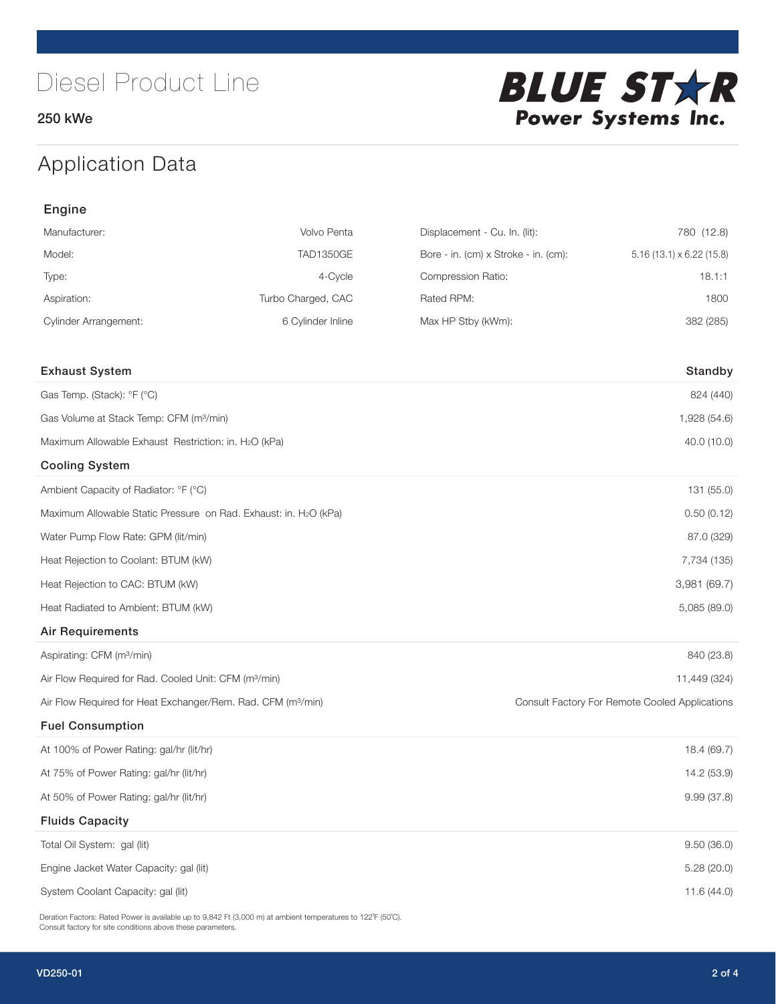250 kWe



## Application Data

| Engine                                                                   |                    |                                      |                                                |
|--------------------------------------------------------------------------|--------------------|--------------------------------------|------------------------------------------------|
| Manufacturer:                                                            | Volvo Penta        | Displacement - Cu. In. (lit):        | 780 (12.8)                                     |
| Model:                                                                   | <b>TAD1350GE</b>   | Bore - in. (cm) x Stroke - in. (cm): | $5.16(13.1) \times 6.22(15.8)$                 |
| Type:                                                                    | 4-Cycle            | Compression Ratio:                   | 18.1:1                                         |
| Aspiration:                                                              | Turbo Charged, CAC | Rated RPM:                           | 1800                                           |
| <b>Cylinder Arrangement:</b>                                             | 6 Cylinder Inline  | Max HP Stby (kWm):                   | 382 (285)                                      |
| <b>Exhaust System</b>                                                    |                    |                                      | Standby                                        |
| Gas Temp. (Stack): °F (°C)                                               |                    |                                      | 824 (440)                                      |
| Gas Volume at Stack Temp: CFM (m <sup>3</sup> /min)                      |                    |                                      | 1,928 (54.6)                                   |
| Maximum Allowable Exhaust Restriction: in. H2O (kPa)                     |                    |                                      | 40.0 (10.0)                                    |
| <b>Cooling System</b>                                                    |                    |                                      |                                                |
| Ambient Capacity of Radiator: °F (°C)                                    |                    |                                      | 131 (55.0)                                     |
| Maximum Allowable Static Pressure on Rad. Exhaust: in. H2O (kPa)         |                    |                                      | 0.50(0.12)                                     |
| Water Pump Flow Rate: GPM (lit/min)                                      |                    |                                      | 87.0 (329)                                     |
| Heat Rejection to Coolant: BTUM (kW)                                     |                    |                                      | 7,734 (135)                                    |
| Heat Rejection to CAC: BTUM (kW)                                         |                    |                                      | 3,981 (69.7)                                   |
| Heat Radiated to Ambient: BTUM (kW)                                      |                    |                                      | 5,085 (89.0)                                   |
| <b>Air Requirements</b>                                                  |                    |                                      |                                                |
| Aspirating: CFM (m <sup>3</sup> /min)                                    |                    |                                      | 840 (23.8)                                     |
| Air Flow Required for Rad. Cooled Unit: CFM (m <sup>3</sup> /min)        |                    |                                      | 11,449 (324)                                   |
| Air Flow Required for Heat Exchanger/Rem. Rad. CFM (m <sup>3</sup> /min) |                    |                                      | Consult Factory For Remote Cooled Applications |
| <b>Fuel Consumption</b>                                                  |                    |                                      |                                                |
| At 100% of Power Rating: gal/hr (lit/hr)                                 |                    |                                      | 18.4 (69.7)                                    |
| At 75% of Power Rating: gal/hr (lit/hr)                                  |                    |                                      | 14.2 (53.9)                                    |
| At 50% of Power Rating: gal/hr (lit/hr)                                  |                    |                                      | 9.99 (37.8)                                    |
| <b>Fluids Capacity</b>                                                   |                    |                                      |                                                |
| Total Oil System: gal (lit)                                              |                    |                                      | 9.50(36.0)                                     |
| Engine Jacket Water Capacity: gal (lit)                                  |                    |                                      | 5.28 (20.0)                                    |
| System Coolant Capacity: gal (lit)                                       |                    |                                      | 11.6 (44.0)                                    |

Deration Factors: Rated Power is available up to 9,842 Ft (3,000 m) at ambient temperatures to 122°F (50°C). Consult factory for site conditions above these parameters.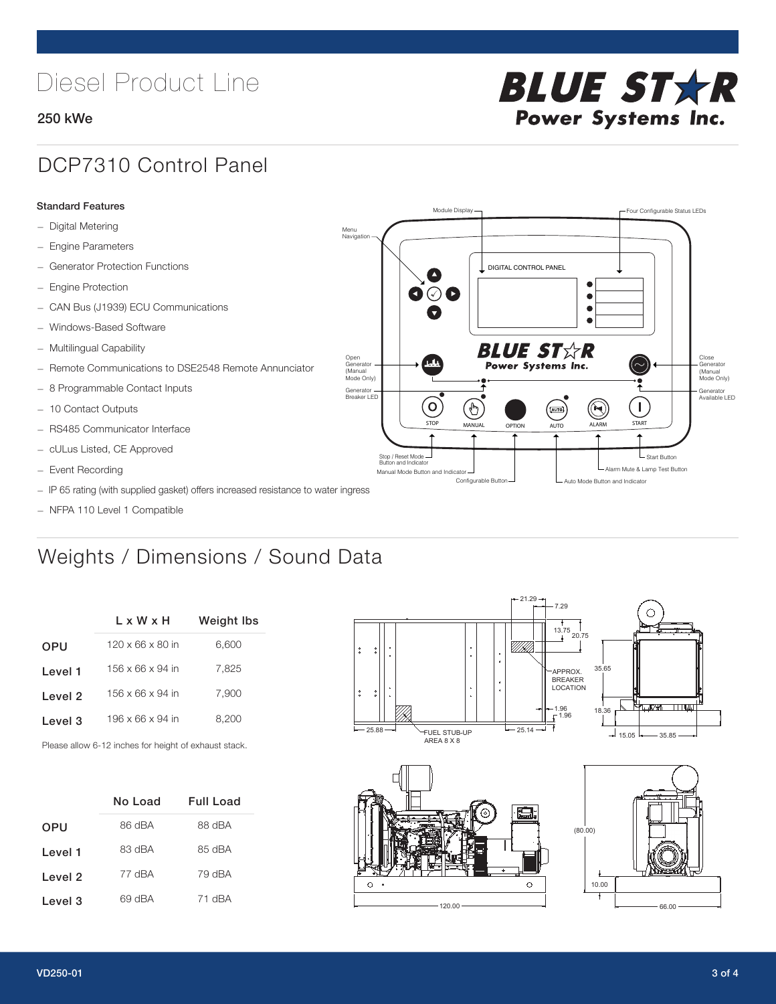## Diesel Product Line

### 250 kWe



### DCP7310 Control Panel

#### Standard Features

- Digital Metering
- Engine Parameters
- Generator Protection Functions
- Engine Protection
- CAN Bus (J1939) ECU Communications
- Windows-Based Software
- Multilingual Capability
- Remote Communications to DSE2548 Remote Annunciator
- 8 Programmable Contact Inputs
- 10 Contact Outputs
- RS485 Communicator Interface
- cULus Listed, CE Approved
- Event Recording
- IP 65 rating (with supplied gasket) offers increased resistance to water ingress
- NFPA 110 Level 1 Compatible

## Weights / Dimensions / Sound Data

|            | L x W x H                    | Weight Ibs |  |  |
|------------|------------------------------|------------|--|--|
| <b>OPU</b> | $120 \times 66 \times 80$ in | 6,600      |  |  |
| Level 1    | 156 x 66 x 94 in             | 7.825      |  |  |
| Level 2    | 156 x 66 x 94 in             | 7.900      |  |  |
| Level 3    | 196 x 66 x 94 in             | 8.200      |  |  |
|            |                              |            |  |  |

Please allow 6-12 inches for height of exhaust stack.

|            | No Load | <b>Full Load</b> |
|------------|---------|------------------|
| <b>OPU</b> | 86 dBA  | 88 dBA           |
| Level 1    | 83 dBA  | 85 dBA           |
| Level 2    | 77 dBA  | 79 dBA           |
| Level 3    | 69 dBA  | 71 dBA           |



 $\circ$ 

STOP MANUAL OPTION AUTO ALARM START

[AUTO]

**BLUE STAR** Power Systems Inc.

Manual Mode Button and Indicator Sultane Mute & Lamp Test Button Mute & Lamp Test Button Mute & Lamp Test Button Configurable Button -  $\Box$  Auto Mode Button and Indicator

DIGITAL CONTROL PANEL

Module Display  $\Box$ 

 $\bullet$  $\bullet$  $\bullet$ 

 $\circledcirc$ 

Menu<br>Navigation

Open Generator (Manual Mode Only)

Generator Breaker LED

Stop / Reset Mode Button and Indicator

 $\bullet$  $\bullet$   $\circ$   $\bullet$ 

 $\sigma$ 

՟Պ

120.00

 $\circ$ 

Close Generator (Manual Mode Only)

Generator Available LED

L Start Button

 $\blacksquare$ 

66.00

10.00